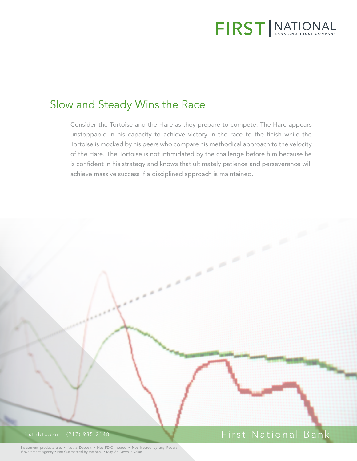

# Slow and Steady Wins the Race

Consider the Tortoise and the Hare as they prepare to compete. The Hare appears unstoppable in his capacity to achieve victory in the race to the finish while the Tortoise is mocked by his peers who compare his methodical approach to the velocity of the Hare. The Tortoise is not intimidated by the challenge before him because he is confident in his strategy and knows that ultimately patience and perseverance will achieve massive success if a disciplined approach is maintained.



Investment products are: • Not a Deposit • Not FDIC Insured • Not Insured by any Federal Government Agency • Not Guaranteed by the Bank • May Go Down in Value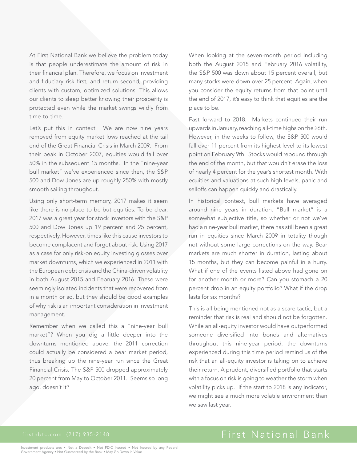At First National Bank we believe the problem today is that people underestimate the amount of risk in their financial plan. Therefore, we focus on investment and fiduciary risk first, and return second, providing clients with custom, optimized solutions. This allows our clients to sleep better knowing their prosperity is protected even while the market swings wildly from time-to-time.

Let's put this in context. We are now nine years removed from equity market lows reached at the tail end of the Great Financial Crisis in March 2009. From their peak in October 2007, equities would fall over 50% in the subsequent 15 months. In the "nine-year bull market" we've experienced since then, the S&P 500 and Dow Jones are up roughly 250% with mostly smooth sailing throughout.

Using only short-term memory, 2017 makes it seem like there is no place to be but equities. To be clear, 2017 was a great year for stock investors with the S&P 500 and Dow Jones up 19 percent and 25 percent, respectively. However, times like this cause investors to become complacent and forget about risk. Using 2017 as a case for only risk-on equity investing glosses over market downturns, which we experienced in 2011 with the European debt crisis and the China-driven volatility in both August 2015 and February 2016. These were seemingly isolated incidents that were recovered from in a month or so, but they should be good examples of why risk is an important consideration in investment management.

Remember when we called this a "nine-year bull market"? When you dig a little deeper into the downturns mentioned above, the 2011 correction could actually be considered a bear market period, thus breaking up the nine-year run since the Great Financial Crisis. The S&P 500 dropped approximately 20 percent from May to October 2011. Seems so long ago, doesn't it?

When looking at the seven-month period including both the August 2015 and February 2016 volatility, the S&P 500 was down about 15 percent overall, but many stocks were down over 25 percent. Again, when you consider the equity returns from that point until the end of 2017, it's easy to think that equities are the place to be.

Fast forward to 2018. Markets continued their run upwards in January, reaching all-time highs on the 26th. However, in the weeks to follow, the S&P 500 would fall over 11 percent from its highest level to its lowest point on February 9th. Stocks would rebound through the end of the month, but that wouldn't erase the loss of nearly 4 percent for the year's shortest month. With equities and valuations at such high levels, panic and selloffs can happen quickly and drastically.

In historical context, bull markets have averaged around nine years in duration. "Bull market" is a somewhat subjective title, so whether or not we've had a nine-year bull market, there has still been a great run in equities since March 2009 in totality though not without some large corrections on the way. Bear markets are much shorter in duration, lasting about 15 months, but they can become painful in a hurry. What if one of the events listed above had gone on for another month or more? Can you stomach a 20 percent drop in an equity portfolio? What if the drop lasts for six months?

This is all being mentioned not as a scare tactic, but a reminder that risk is real and should not be forgotten. While an all-equity investor would have outperformed someone diversified into bonds and alternatives throughout this nine-year period, the downturns experienced during this time period remind us of the risk that an all-equity investor is taking on to achieve their return. A prudent, diversified portfolio that starts with a focus on risk is going to weather the storm when volatility picks up. If the start to 2018 is any indicator, we might see a much more volatile environment than we saw last year.

## firstnbtc.com (217) 935-2148 First National Bank

Investment products are: • Not a Deposit • Not FDIC Insured • Not Insured by any Federal Government Agency • Not Guaranteed by the Bank • May Go Down in Value